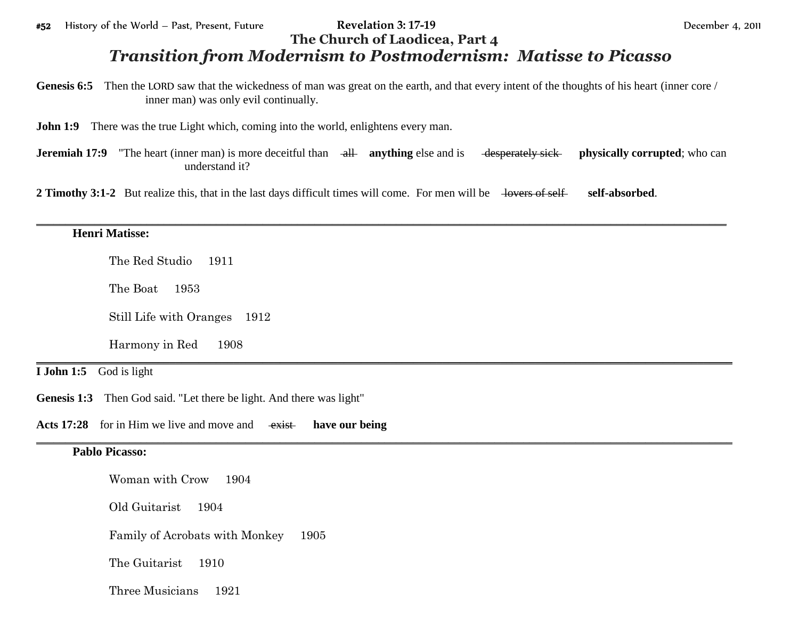## #52 History of the World – Past, Present, Future **Revelation 3: 17-19** December 4, 2011 **The Church of Laodicea, Part 4**  *Transition from Modernism to Postmodernism: Matisse to Picasso*

- Genesis 6:5 Then the LORD saw that the wickedness of man was great on the earth, and that every intent of the thoughts of his heart (inner core / inner man) was only evil continually.
- **John 1:9** There was the true Light which, coming into the world, enlightens every man.
- **Jeremiah 17:9** "The heart (inner man) is more deceitful than all anything else and is desperately sick physically corrupted; who can understand it?

\_\_\_\_\_\_\_\_\_\_\_\_\_\_\_\_\_\_\_\_\_\_\_\_\_\_\_\_\_\_\_\_\_\_\_\_\_\_\_\_\_\_\_\_\_\_\_\_\_\_\_\_\_\_\_\_\_\_\_\_\_\_\_\_\_\_\_\_\_\_\_\_\_\_\_\_\_\_\_\_\_\_\_\_\_\_\_\_\_\_\_\_\_\_\_\_\_\_\_\_\_\_\_\_\_\_\_\_\_\_\_\_\_\_\_\_\_\_\_

\_\_\_\_\_\_\_\_\_\_\_\_\_\_\_\_\_\_\_\_\_\_\_\_\_\_\_\_\_\_\_\_\_\_\_\_\_\_\_\_\_\_\_\_\_\_\_\_\_\_\_\_\_\_\_\_\_\_\_\_\_\_\_\_\_\_\_\_\_\_\_\_\_\_\_\_\_\_\_\_\_\_\_\_\_\_\_\_\_\_\_\_\_\_\_\_\_\_\_\_\_\_\_\_\_\_\_\_\_\_\_\_\_\_\_\_\_\_\_\_

\_\_\_\_\_\_\_\_\_\_\_\_\_\_\_\_\_\_\_\_\_\_\_\_\_\_\_\_\_\_\_\_\_\_\_\_\_\_\_\_\_\_\_\_\_\_\_\_\_\_\_\_\_\_\_\_\_\_\_\_\_\_\_\_\_\_\_\_\_\_\_\_\_\_\_\_\_\_\_\_\_\_\_\_\_\_\_\_\_\_\_\_\_\_\_\_\_\_\_\_\_\_\_\_\_\_\_\_\_\_\_\_\_\_\_\_\_\_\_\_

**2 Timothy 3:1-2** But realize this, that in the last days difficult times will come. For men will be lovers of self-absorbed.

## **Henri Matisse:**

The Red Studio 1911

The Boat 1953

Still Life with Oranges 1912

Harmony in Red 1908

**I John 1:5** God is light

**Genesis 1:3** Then God said. "Let there be light. And there was light"

**Acts 17:28** for in Him we live and move and  $\overrightarrow{exist}$  **have our being** 

## **Pablo Picasso:**

Woman with Crow 1904 Old Guitarist 1904 Family of Acrobats with Monkey 1905

The Guitarist 1910

Three Musicians 1921